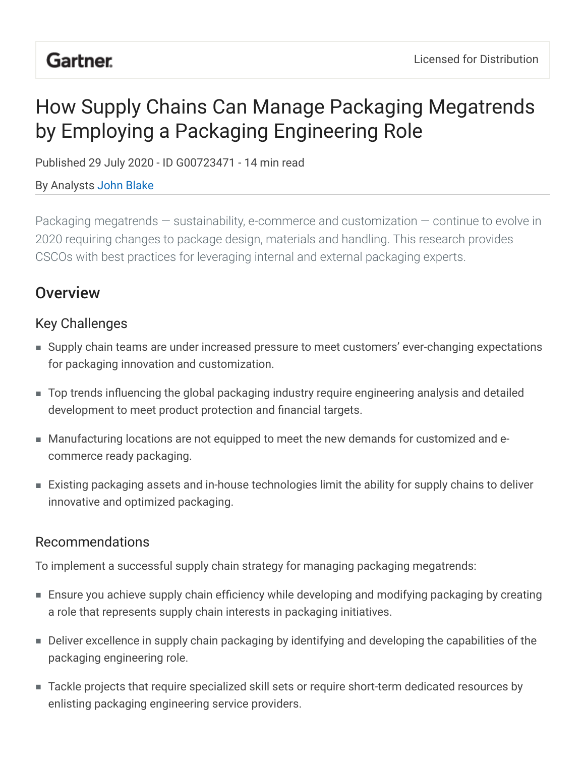# **Gartner.**

# How Supply Chains Can Manage Packaging Megatrends by Employing a Packaging Engineering Role

Published 29 July 2020 - ID G00723471 - 14 min read

By Analysts John Blake

Packaging megatrends — sustainability, e-commerce and customization — continue to evolve in 2020 requiring changes to package design, materials and handling. This research provides CSCOs with best practices for leveraging internal and external packaging experts.

# **Overview**

## Key Challenges

- Supply chain teams are under increased pressure to meet customers' ever-changing expectations for packaging innovation and customization.
- Top trends influencing the global packaging industry require engineering analysis and detailed development to meet product protection and financial targets.
- Manufacturing locations are not equipped to meet the new demands for customized and ecommerce ready packaging.
- Existing packaging assets and in-house technologies limit the ability for supply chains to deliver innovative and optimized packaging.

## Recommendations

To implement a successful supply chain strategy for managing packaging megatrends:

- Ensure you achieve supply chain efficiency while developing and modifying packaging by creating a role that represents supply chain interests in packaging initiatives.
- Deliver excellence in supply chain packaging by identifying and developing the capabilities of the packaging engineering role.
- Tackle projects that require specialized skill sets or require short-term dedicated resources by ■enlisting packaging engineering service providers.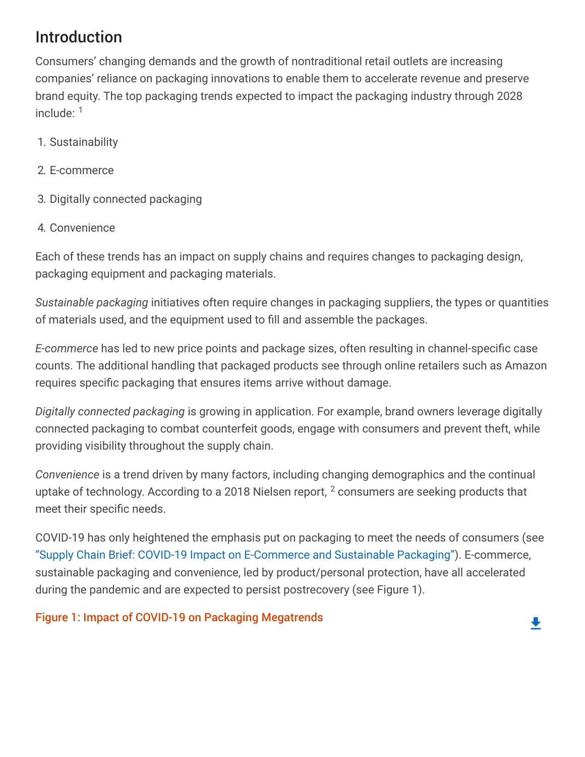# Introduction

Consumers' changing demands and the growth of nontraditional retail outlets are increasing companies' reliance on packaging innovations to enable them to accelerate revenue and preserve brand equity. The top packaging trends expected to impact the packaging industry through 2028 include:  $1$ 

- 1. Sustainability
- 2. E-commerce
- 3. Digitally connected packaging
- 4. Convenience

Each of these trends has an impact on supply chains and requires changes to packaging design, packaging equipment and packaging materials.

*Sustainable packaging* initiatives often require changes in packaging suppliers, the types or quantities of materials used, and the equipment used to fill and assemble the packages.

*E-commerce* has led to new price points and package sizes, often resulting in channel-specific case counts. The additional handling that packaged products see through online retailers such as Amazon requires specific packaging that ensures items arrive without damage.

*Digitally connected packaging* is growing in application. For example, brand owners leverage digitally connected packaging to combat counterfeit goods, engage with consumers and prevent theft, while providing visibility throughout the supply chain.

*Convenience* is a trend driven by many factors, including changing demographics and the continual uptake of technology. According to a 2018 Nielsen report,  $^2$  consumers are seeking products that meet their specific needs.

COVID-19 has only heightened the emphasis put on packaging to meet the needs of consumers (see ["Supply Chain Brief: COVID-19 Impact on E-Commerce and Sustainable Packaging"](javascript:void(0);)). E-commerce, sustainable packaging and convenience, led by product/personal protection, have all accelerated during the pandemic and are expected to persist postrecovery (see Figure 1).

### Figure 1: Impact of COVID-19 on Packaging Megatrends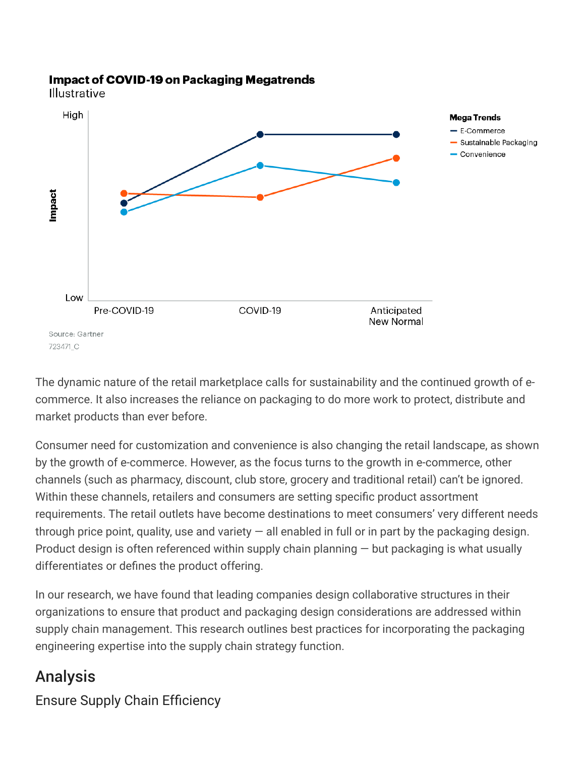#### **Impact of COVID-19 on Packaging Megatrends**

Illustrative



The dynamic nature of the retail marketplace calls for sustainability and the continued growth of ecommerce. It also increases the reliance on packaging to do more work to protect, distribute and market products than ever before.

Consumer need for customization and convenience is also changing the retail landscape, as shown by the growth of e-commerce. However, as the focus turns to the growth in e-commerce, other channels (such as pharmacy, discount, club store, grocery and traditional retail) can't be ignored. Within these channels, retailers and consumers are setting specific product assortment requirements. The retail outlets have become destinations to meet consumers' very different needs through price point, quality, use and variety  $-$  all enabled in full or in part by the packaging design. Product design is often referenced within supply chain planning  $-$  but packaging is what usually differentiates or defines the product offering.

In our research, we have found that leading companies design collaborative structures in their organizations to ensure that product and packaging design considerations are addressed within supply chain management. This research outlines best practices for incorporating the packaging engineering expertise into the supply chain strategy function.

# Analysis

Ensure Supply Chain Efficiency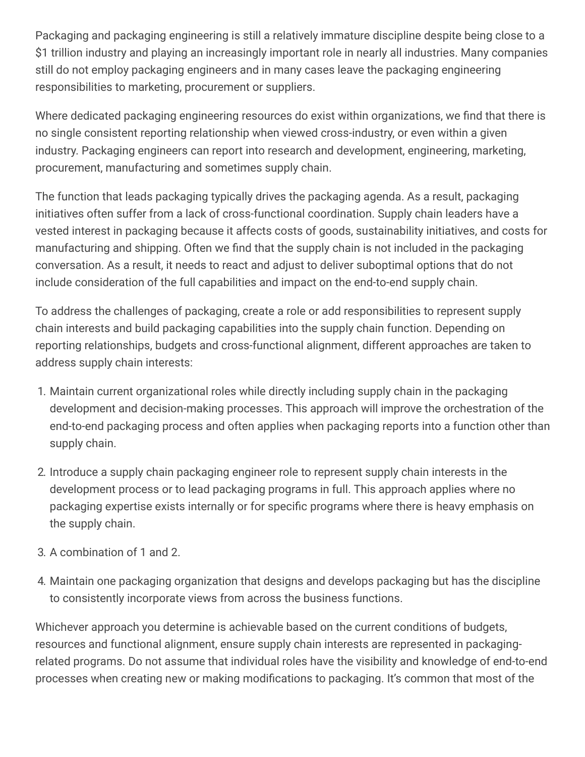Packaging and packaging engineering is still a relatively immature discipline despite being close to a \$1 trillion industry and playing an increasingly important role in nearly all industries. Many companies still do not employ packaging engineers and in many cases leave the packaging engineering responsibilities to marketing, procurement or suppliers.

Where dedicated packaging engineering resources do exist within organizations, we find that there is no single consistent reporting relationship when viewed cross-industry, or even within a given industry. Packaging engineers can report into research and development, engineering, marketing, procurement, manufacturing and sometimes supply chain.

The function that leads packaging typically drives the packaging agenda. As a result, packaging initiatives often suffer from a lack of cross-functional coordination. Supply chain leaders have a vested interest in packaging because it affects costs of goods, sustainability initiatives, and costs for manufacturing and shipping. Often we find that the supply chain is not included in the packaging conversation. As a result, it needs to react and adjust to deliver suboptimal options that do not include consideration of the full capabilities and impact on the end-to-end supply chain.

To address the challenges of packaging, create a role or add responsibilities to represent supply chain interests and build packaging capabilities into the supply chain function. Depending on reporting relationships, budgets and cross-functional alignment, different approaches are taken to address supply chain interests:

- 1. Maintain current organizational roles while directly including supply chain in the packaging development and decision-making processes. This approach will improve the orchestration of the end-to-end packaging process and often applies when packaging reports into a function other than supply chain.
- 2. Introduce a supply chain packaging engineer role to represent supply chain interests in the development process or to lead packaging programs in full. This approach applies where no packaging expertise exists internally or for specific programs where there is heavy emphasis on the supply chain.
- 3. A combination of 1 and 2.
- 4. Maintain one packaging organization that designs and develops packaging but has the discipline to consistently incorporate views from across the business functions.

Whichever approach you determine is achievable based on the current conditions of budgets, resources and functional alignment, ensure supply chain interests are represented in packagingrelated programs. Do not assume that individual roles have the visibility and knowledge of end-to-end processes when creating new or making modifications to packaging. It's common that most of the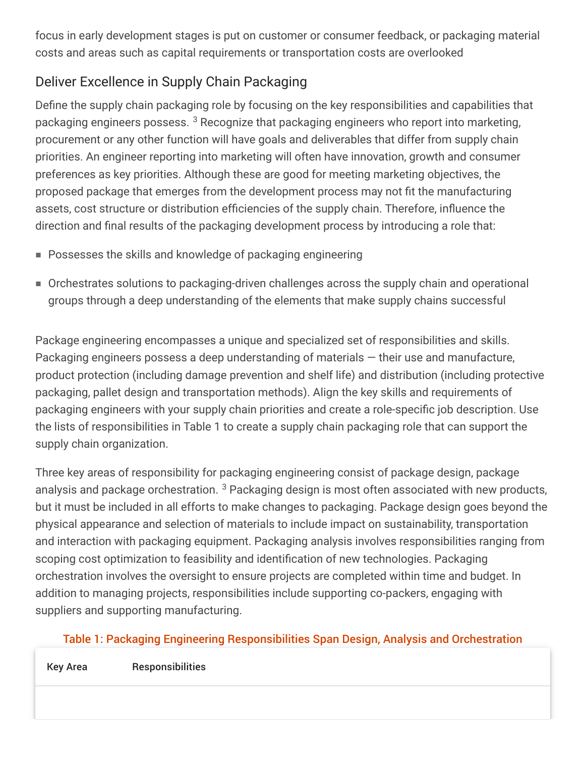focus in early development stages is put on customer or consumer feedback, or packaging material costs and areas such as capital requirements or transportation costs are overlooked

# Deliver Excellence in Supply Chain Packaging

Define the supply chain packaging role by focusing on the key responsibilities and capabilities that packaging engineers possess.  $^3$  Recognize that packaging engineers who report into marketing, procurement or any other function will have goals and deliverables that differ from supply chain priorities. An engineer reporting into marketing will often have innovation, growth and consumer preferences as key priorities. Although these are good for meeting marketing objectives, the proposed package that emerges from the development process may not fit the manufacturing assets, cost structure or distribution efficiencies of the supply chain. Therefore, influence the direction and final results of the packaging development process by introducing a role that:

- Possesses the skills and knowledge of packaging engineering
- Orchestrates solutions to packaging-driven challenges across the supply chain and operational groups through a deep understanding of the elements that make supply chains successful

Package engineering encompasses a unique and specialized set of responsibilities and skills. Packaging engineers possess a deep understanding of materials — their use and manufacture, product protection (including damage prevention and shelf life) and distribution (including protective packaging, pallet design and transportation methods). Align the key skills and requirements of packaging engineers with your supply chain priorities and create a role-specific job description. Use the lists of responsibilities in Table 1 to create a supply chain packaging role that can support the supply chain organization.

Three key areas of responsibility for packaging engineering consist of package design, package analysis and package orchestration. <sup>3</sup> Packaging design is most often associated with new products, but it must be included in all efforts to make changes to packaging. Package design goes beyond the physical appearance and selection of materials to include impact on sustainability, transportation and interaction with packaging equipment. Packaging analysis involves responsibilities ranging from scoping cost optimization to feasibility and identification of new technologies. Packaging orchestration involves the oversight to ensure projects are completed within time and budget. In addition to managing projects, responsibilities include supporting co-packers, engaging with suppliers and supporting manufacturing.

### Table 1: Packaging Engineering Responsibilities Span Design, Analysis and Orchestration

| Key Area | Responsibilities |
|----------|------------------|
|----------|------------------|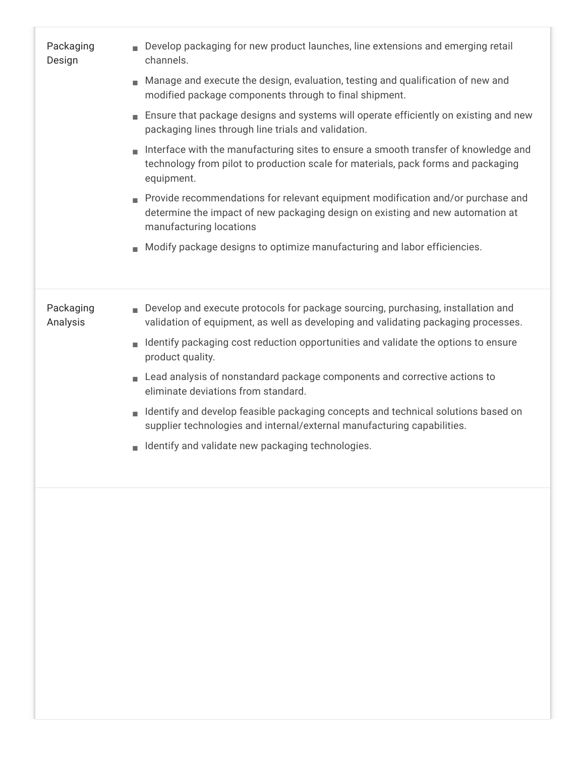| Packaging<br>Design   | Develop packaging for new product launches, line extensions and emerging retail<br>channels.<br>Manage and execute the design, evaluation, testing and qualification of new and<br>modified package components through to final shipment.<br>Ensure that package designs and systems will operate efficiently on existing and new<br>packaging lines through line trials and validation.<br>Interface with the manufacturing sites to ensure a smooth transfer of knowledge and<br>technology from pilot to production scale for materials, pack forms and packaging<br>equipment.<br>Provide recommendations for relevant equipment modification and/or purchase and<br>determine the impact of new packaging design on existing and new automation at |
|-----------------------|---------------------------------------------------------------------------------------------------------------------------------------------------------------------------------------------------------------------------------------------------------------------------------------------------------------------------------------------------------------------------------------------------------------------------------------------------------------------------------------------------------------------------------------------------------------------------------------------------------------------------------------------------------------------------------------------------------------------------------------------------------|
|                       | manufacturing locations<br>Modify package designs to optimize manufacturing and labor efficiencies.                                                                                                                                                                                                                                                                                                                                                                                                                                                                                                                                                                                                                                                     |
|                       |                                                                                                                                                                                                                                                                                                                                                                                                                                                                                                                                                                                                                                                                                                                                                         |
| Packaging<br>Analysis | Develop and execute protocols for package sourcing, purchasing, installation and<br>validation of equipment, as well as developing and validating packaging processes.                                                                                                                                                                                                                                                                                                                                                                                                                                                                                                                                                                                  |
|                       | Identify packaging cost reduction opportunities and validate the options to ensure<br>product quality.                                                                                                                                                                                                                                                                                                                                                                                                                                                                                                                                                                                                                                                  |
|                       | Lead analysis of nonstandard package components and corrective actions to<br>eliminate deviations from standard.                                                                                                                                                                                                                                                                                                                                                                                                                                                                                                                                                                                                                                        |
|                       | Identify and develop feasible packaging concepts and technical solutions based on<br>supplier technologies and internal/external manufacturing capabilities.                                                                                                                                                                                                                                                                                                                                                                                                                                                                                                                                                                                            |
|                       | Identify and validate new packaging technologies.                                                                                                                                                                                                                                                                                                                                                                                                                                                                                                                                                                                                                                                                                                       |
|                       |                                                                                                                                                                                                                                                                                                                                                                                                                                                                                                                                                                                                                                                                                                                                                         |
|                       |                                                                                                                                                                                                                                                                                                                                                                                                                                                                                                                                                                                                                                                                                                                                                         |
|                       |                                                                                                                                                                                                                                                                                                                                                                                                                                                                                                                                                                                                                                                                                                                                                         |
|                       |                                                                                                                                                                                                                                                                                                                                                                                                                                                                                                                                                                                                                                                                                                                                                         |
|                       |                                                                                                                                                                                                                                                                                                                                                                                                                                                                                                                                                                                                                                                                                                                                                         |
|                       |                                                                                                                                                                                                                                                                                                                                                                                                                                                                                                                                                                                                                                                                                                                                                         |
|                       |                                                                                                                                                                                                                                                                                                                                                                                                                                                                                                                                                                                                                                                                                                                                                         |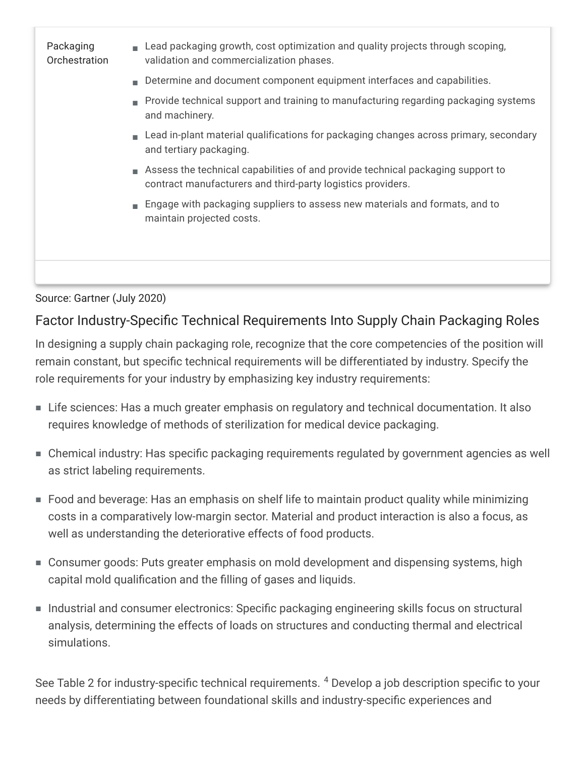

Source: Gartner (July 2020)

### Factor Industry-Specific Technical Requirements Into Supply Chain Packaging Roles

In designing a supply chain packaging role, recognize that the core competencies of the position will remain constant, but specific technical requirements will be differentiated by industry. Specify the role requirements for your industry by emphasizing key industry requirements:

- Life sciences: Has a much greater emphasis on regulatory and technical documentation. It also requires knowledge of methods of sterilization for medical device packaging.
- Chemical industry: Has specific packaging requirements regulated by government agencies as well as strict labeling requirements.
- Food and beverage: Has an emphasis on shelf life to maintain product quality while minimizing costs in a comparatively low-margin sector. Material and product interaction is also a focus, as well as understanding the deteriorative effects of food products.
- Consumer goods: Puts greater emphasis on mold development and dispensing systems, high capital mold qualification and the filling of gases and liquids.
- Industrial and consumer electronics: Specific packaging engineering skills focus on structural analysis, determining the effects of loads on structures and conducting thermal and electrical simulations.

See Table 2 for industry-specific technical requirements. <sup>4</sup> Develop a job description specific to your needs by differentiating between foundational skills and industry-specific experiences and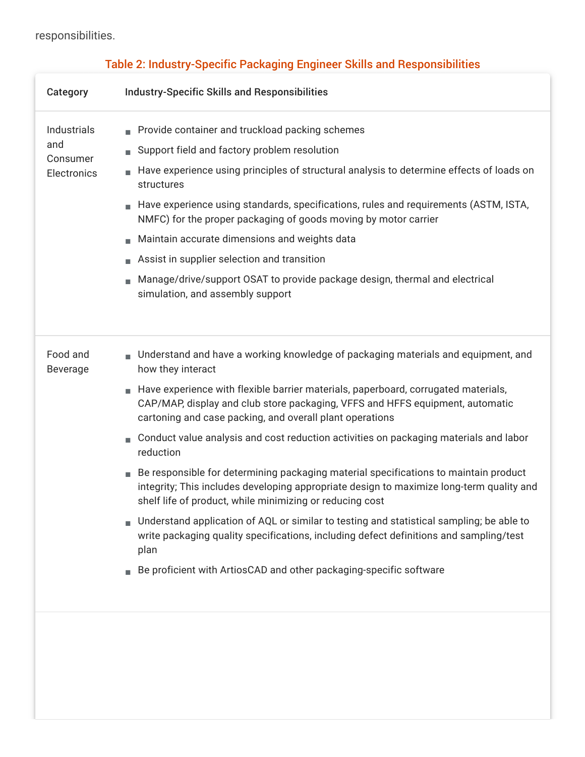#### responsibilities.

| Category                                             | <b>Industry-Specific Skills and Responsibilities</b>                                                                                                                                                                                                                                                                                                                                                                                                                                                                                                                                                                                                                                                                                                                                                                                                                                                                                                                |
|------------------------------------------------------|---------------------------------------------------------------------------------------------------------------------------------------------------------------------------------------------------------------------------------------------------------------------------------------------------------------------------------------------------------------------------------------------------------------------------------------------------------------------------------------------------------------------------------------------------------------------------------------------------------------------------------------------------------------------------------------------------------------------------------------------------------------------------------------------------------------------------------------------------------------------------------------------------------------------------------------------------------------------|
| Industrials<br>and<br>Consumer<br><b>Electronics</b> | Provide container and truckload packing schemes<br>Support field and factory problem resolution<br>Have experience using principles of structural analysis to determine effects of loads on<br>structures<br>Have experience using standards, specifications, rules and requirements (ASTM, ISTA,<br>NMFC) for the proper packaging of goods moving by motor carrier<br>Maintain accurate dimensions and weights data<br>Assist in supplier selection and transition<br>Manage/drive/support OSAT to provide package design, thermal and electrical<br>simulation, and assembly support                                                                                                                                                                                                                                                                                                                                                                             |
| Food and<br><b>Beverage</b>                          | Understand and have a working knowledge of packaging materials and equipment, and<br>how they interact<br>Have experience with flexible barrier materials, paperboard, corrugated materials,<br>CAP/MAP, display and club store packaging, VFFS and HFFS equipment, automatic<br>cartoning and case packing, and overall plant operations<br>Conduct value analysis and cost reduction activities on packaging materials and labor<br>reduction<br>Be responsible for determining packaging material specifications to maintain product<br>integrity; This includes developing appropriate design to maximize long-term quality and<br>shelf life of product, while minimizing or reducing cost<br>Understand application of AQL or similar to testing and statistical sampling; be able to<br>write packaging quality specifications, including defect definitions and sampling/test<br>plan<br>Be proficient with ArtiosCAD and other packaging-specific software |
|                                                      |                                                                                                                                                                                                                                                                                                                                                                                                                                                                                                                                                                                                                                                                                                                                                                                                                                                                                                                                                                     |

### Table 2: Industry-Specific Packaging Engineer Skills and Responsibilities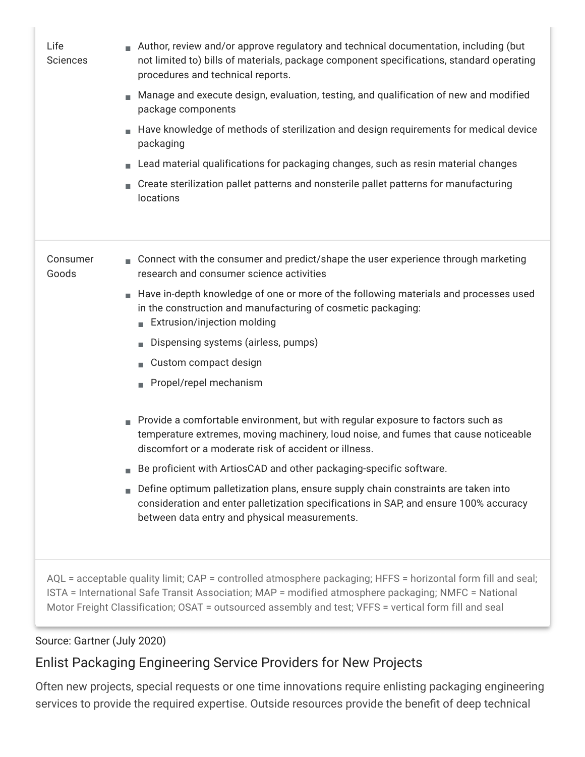| Life<br><b>Sciences</b>                                                                                                                                                                                                                                                                                                      | Author, review and/or approve regulatory and technical documentation, including (but<br>not limited to) bills of materials, package component specifications, standard operating<br>procedures and technical reports.<br>Manage and execute design, evaluation, testing, and qualification of new and modified<br>package components<br>Have knowledge of methods of sterilization and design requirements for medical device<br>packaging<br>Lead material qualifications for packaging changes, such as resin material changes<br>Create sterilization pallet patterns and nonsterile pallet patterns for manufacturing<br>locations |
|------------------------------------------------------------------------------------------------------------------------------------------------------------------------------------------------------------------------------------------------------------------------------------------------------------------------------|----------------------------------------------------------------------------------------------------------------------------------------------------------------------------------------------------------------------------------------------------------------------------------------------------------------------------------------------------------------------------------------------------------------------------------------------------------------------------------------------------------------------------------------------------------------------------------------------------------------------------------------|
| Consumer<br>Goods                                                                                                                                                                                                                                                                                                            | Connect with the consumer and predict/shape the user experience through marketing<br>research and consumer science activities                                                                                                                                                                                                                                                                                                                                                                                                                                                                                                          |
|                                                                                                                                                                                                                                                                                                                              | Have in-depth knowledge of one or more of the following materials and processes used<br>in the construction and manufacturing of cosmetic packaging:<br>Extrusion/injection molding                                                                                                                                                                                                                                                                                                                                                                                                                                                    |
|                                                                                                                                                                                                                                                                                                                              | Dispensing systems (airless, pumps)                                                                                                                                                                                                                                                                                                                                                                                                                                                                                                                                                                                                    |
|                                                                                                                                                                                                                                                                                                                              | Custom compact design                                                                                                                                                                                                                                                                                                                                                                                                                                                                                                                                                                                                                  |
|                                                                                                                                                                                                                                                                                                                              | Propel/repel mechanism                                                                                                                                                                                                                                                                                                                                                                                                                                                                                                                                                                                                                 |
|                                                                                                                                                                                                                                                                                                                              | Provide a comfortable environment, but with regular exposure to factors such as<br>temperature extremes, moving machinery, loud noise, and fumes that cause noticeable<br>discomfort or a moderate risk of accident or illness.                                                                                                                                                                                                                                                                                                                                                                                                        |
|                                                                                                                                                                                                                                                                                                                              | Be proficient with ArtiosCAD and other packaging-specific software.                                                                                                                                                                                                                                                                                                                                                                                                                                                                                                                                                                    |
|                                                                                                                                                                                                                                                                                                                              | Define optimum palletization plans, ensure supply chain constraints are taken into<br>consideration and enter palletization specifications in SAP, and ensure 100% accuracy<br>between data entry and physical measurements.                                                                                                                                                                                                                                                                                                                                                                                                           |
| AQL = acceptable quality limit; CAP = controlled atmosphere packaging; HFFS = horizontal form fill and seal;<br>ISTA = International Safe Transit Association; MAP = modified atmosphere packaging; NMFC = National<br>Motor Freight Classification; OSAT = outsourced assembly and test; VFFS = vertical form fill and seal |                                                                                                                                                                                                                                                                                                                                                                                                                                                                                                                                                                                                                                        |

#### Source: Gartner (July 2020)

### Enlist Packaging Engineering Service Providers for New Projects

Often new projects, special requests or one time innovations require enlisting packaging engineering services to provide the required expertise. Outside resources provide the benefit of deep technical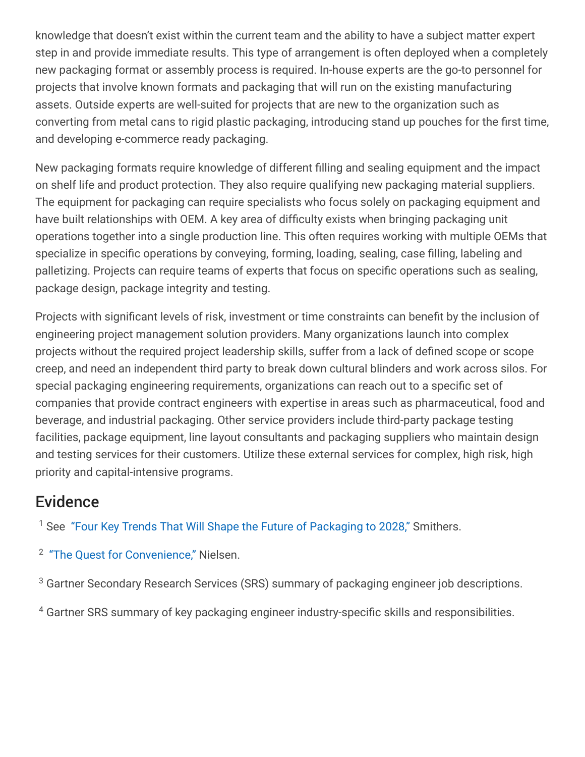knowledge that doesn't exist within the current team and the ability to have a subject matter expert step in and provide immediate results. This type of arrangement is often deployed when a completely new packaging format or assembly process is required. In-house experts are the go-to personnel for projects that involve known formats and packaging that will run on the existing manufacturing assets. Outside experts are well-suited for projects that are new to the organization such as converting from metal cans to rigid plastic packaging, introducing stand up pouches for the first time, and developing e-commerce ready packaging.

New packaging formats require knowledge of different filling and sealing equipment and the impact on shelf life and product protection. They also require qualifying new packaging material suppliers. The equipment for packaging can require specialists who focus solely on packaging equipment and have built relationships with OEM. A key area of difficulty exists when bringing packaging unit operations together into a single production line. This often requires working with multiple OEMs that specialize in specific operations by conveying, forming, loading, sealing, case filling, labeling and palletizing. Projects can require teams of experts that focus on specific operations such as sealing, package design, package integrity and testing.

Projects with significant levels of risk, investment or time constraints can benefit by the inclusion of engineering project management solution providers. Many organizations launch into complex projects without the required project leadership skills, suffer from a lack of defined scope or scope creep, and need an independent third party to break down cultural blinders and work across silos. For special packaging engineering requirements, organizations can reach out to a specific set of companies that provide contract engineers with expertise in areas such as pharmaceutical, food and beverage, and industrial packaging. Other service providers include third-party package testing facilities, package equipment, line layout consultants and packaging suppliers who maintain design and testing services for their customers. Utilize these external services for complex, high risk, high priority and capital-intensive programs.

# **Evidence**

<sup>1</sup> See ["Four Key Trends That Will Shape the Future of Packaging to 2028,"](https://www.smithers.com/resources/2019/feb/future-packaging-trends-2018-to-2028) Smithers.

<sup>2</sup> ["The Quest for Convenience,"](https://www.nielsen.com/jo/en/insights/report/2018/the-quest-for-convenience/) Nielsen.

 $3$  Gartner Secondary Research Services (SRS) summary of packaging engineer job descriptions.

 $^4$  Gartner SRS summary of key packaging engineer industry-specific skills and responsibilities.